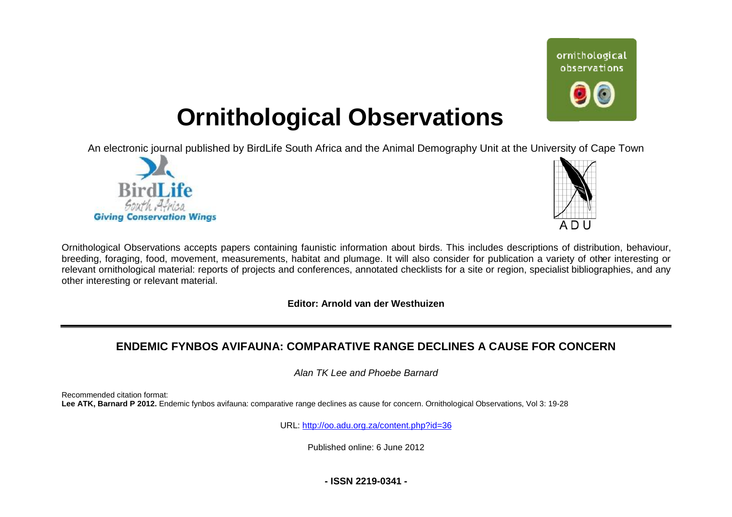

# **Ornithological Observations**

An electronic journal published by BirdLife South Africa and the Animal Demography Unit at the University of Cape Town





Ornithological Observations accepts papers containing faunistic information about birds. This includes descriptions of distribution, behaviour, breeding, foraging, food, movement, measurements, habitat and plumage. It will also consider for publication a variety of other interesting or relevant ornithological material: reports of projects and conferences, annotated checklists for a site or region, specialist bibliographies, and any other interesting or relevant material.

**Editor: Arnold van der Westhuizen**

# $\tt{ENDEMIC}$  FYNBOS AVIFAUNA:  $\tt{COMPARATIVE}$  RANGE DECLINES A CAUSE FOR  $\tt{CONCERN}$

*Alan TK Lee and Phoebe Barnard* 

Recommended citation format: Lee ATK, Barnard P 2012. Endemic fynbos avifauna: comparative range declines as cause for concern. Ornithological Observations, Vol 3: 19-28

URL: <http://oo.adu.org.za/content.php?id=36>

Published online: 6 June 2012

**- ISSN 2219-0341 -**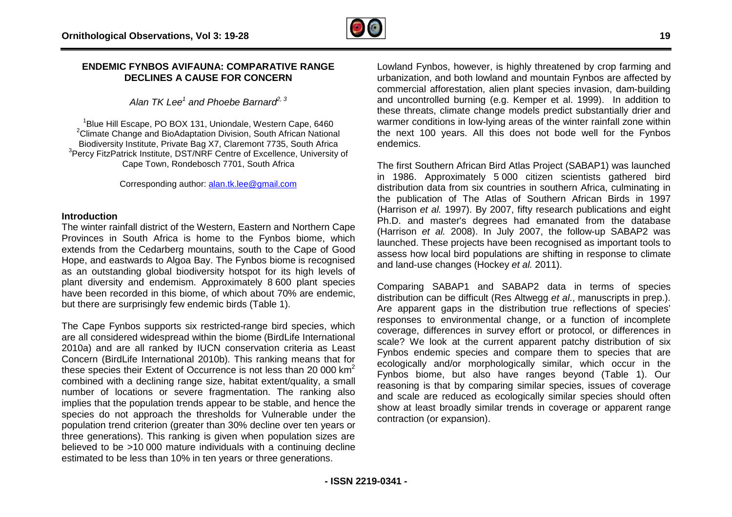

# **ENDEMIC FYNBOS AVIFAUNA: COMPARATIVE RANGE : DECLINES A CAUSE FOR CONCERN**

*Alan TK Lee<sup>1</sup> and Phoebe Barnard2, 3*

<sup>1</sup>Blue Hill Escape, PO BOX 131, Uniondale, Western Cape, 6460 <sup>2</sup>Climate Change and BioAdaptation Division, South African National Biodiversity Institute, Private Bag X7, Claremont 7735, South Africa <sup>3</sup>Percy FitzPatrick Institute, DST/NRF Centre of Excellence, University of Cape Town, Rondebosch 7701, South Africa

Corresponding author: [alan.tk.lee@gmail.com](mailto:alan.tk.lee@gmail.com)

#### **Introduction**

The winter rainfall district of the Western, Eastern and Northern Cape Provinces in South Africa is home to the Fynbos biome, which extends from the Cedarberg mountains, south to the Cape of Good Hope, and eastwards to Algoa Bay. The Fynbos biome is recognised as an outstanding global biodiversity hotspot for its high levels of plant diversity and endemism. Approximately 8 600 plant species have been recorded in this biome, of which about 70% are endemic, but there are surprisingly few endemic birds (Table 1).

The Cape Fynbos supports six restricted-range bird species, which are all considered widespread within the biome (BirdLife International 2010a) and are all ranked by IUCN conservation criteria as Least Concern (BirdLife International 2010b). This ranking means that for these species their Extent of Occurrence is not less than 20 000  $km^2$ combined with a declining range size, habitat extent/quality, a small number of locations or severe fragmentation. The ranking also implies that the population trends appear to be stable, and hence the species do not approach the thresholds for Vulnerable under the population trend criterion (greater than 30% decline over ten years or three generations). This ranking is given when population sizes are believed to be >10 000 mature individuals with a continuing decline estimated to be less than 10% in ten years or three generations. ted-range bird species, which<br>e biome (BirdLife International<br>conservation criteria as Least<br>. This ranking means that for<br>ce is not less than 20 000 km<sup>2</sup> mbined with a declining range size, habitat extent/quality, a small<br>mber of locations or severe fragmentation. The ranking also<br>plies that the population trends appear to be stable, and hence the<br>ecies do not approach the

Lowland Fynbos, however, is highly threatened by crop farming and urbanization, and both lowland and mountain Fynbos are affected by commercial afforestation, alien plant species invasion, dam-building and uncontrolled burning (e.g. Kemper et al. 1999). In addition to these threats, climate change models predict substantially drier and warmer conditions in low-lying areas of the winter rainfall zone within the next 100 years. All this does not bode well for the Fynbos endemics. warmer conditions in low-lying areas of the winter rainfall zone within<br>the next 100 years. All this does not bode well for the Fynbos<br>endemics.<br>The first Southern African Bird Atlas Project (SABAP1) was launched

in 1986. Approximately 5 000 citizen scientists gathered bird distribution data from six countries in southern Africa Africa, culminating in the publication of The Atlas of Southern African Birds in 1997 (Harrison *et al.* 1997). By 2007, fifty research publications and eight Ph.D. and master's degrees had emanated from the database (Harrison *et al.* 1997). By 2007, fifty research publications and eight<br>Ph.D. and master's degrees had emanated from the database<br>(Harrison *et al.* 2008). In July 2007, the follow-up SABAP2 was launched. These projects have been recognised as important tools to assess how local bird populations are shifting in response to climate and land-use changes (Hockey *et al.* 2011).

Comparing SABAP1 and SABAP2 data in terms of species distribution can be difficult (Res Altwegg *et al*., manuscripts in prep.). Are apparent gaps in the distribution true reflections of species' responses to environmental change, or a function of incomplete coverage, differences in survey effort or protocol, or differences in scale? We look at the current apparent patchy distribution of six Fynbos endemic species and compare them to species that are Fynbos endemic species and compare them to species that are<br>ecologically and/or morphologically similar, which occur in the Fynbos biome, but also have ranges beyond (Table 1). Our reasoning is that by comparing similar species, issues of coverage and scale are reduced as ecologically similar species should often show at least broadly similar trends in coverage or apparent range contraction (or expansion).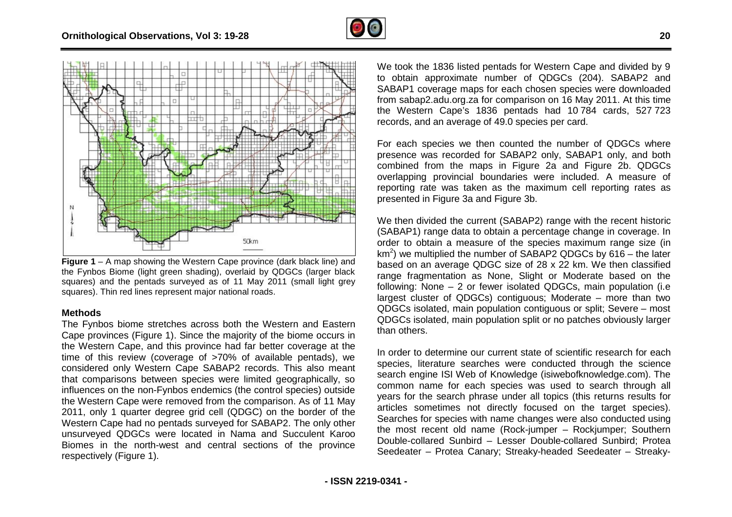



**Figure 1** – A map showing the Western Cape province (dark black line) and the Fynbos Biome (light green shading), overlaid by QDGCs (larger black squares) and the pentads surveyed as of 11 May 2011 (small light grey squares). Thin red lines represent major national roads.

#### **Methods**

The Fynbos biome stretches across both the Western and Eastern Cape provinces (Figure 1). Since the majority of the biome occurs in the Western Cape, and this province had far better coverage at the Cape provinces (Figure 1). Since the majority of the biome occurs in<br>the Western Cape, and this province had far better coverage at the<br>time of this review (coverage of >70% of available pentads), we considered only Western Cape SABAP2 records. This also meant that comparisons between species were limited geographically, so influences on the non-Fynbos endemics (the control species) outside the Western Cape were removed from the comparison. As of 11 May 2011, only 1 quarter degree grid cell (QDGC) on the border of the Western Cape had no pentads surveyed for SABAP2. The only other unsurveyed QDGCs were located in Nama and Succulent Karoo Biomes in the north-west and central sections of the province respectively (Figure 1).

to obtain approximate number of QDGCs (204). SABAP2 and SABAP1 coverage maps for each chosen species were downloaded from sabap2.adu.org.za for comparison on 16 May 2011. At this time the Western Cape's 1836 pentads had 10 784 cards, 527 723 records, and an average of 49.0 species per card. We took the 1836 listed pentads for Western Cape and divided by 9

For each species we then counted the number of QDGCs where presence was recorded for SABAP2 only, SABAP1 only, and both combined from the maps in Figure 2a and Figure 2b. QDGCs overlapping provincial boundaries were included. A measure of reporting rate was taken as the maximum cell reporting rates as presented in Figure 3a and Figure 3b.

We then divided the current (SABAP2) range with the recent historic (SABAP1) range data to obtain a percentage change in coverage. In order to obtain a measure of the species maximum range size (in km<sup>2</sup>) we multiplied the number of SABAP2 QDGCs by 616 – the later based on an average QDGC size of 28 x 22 km. We then classified range fragmentation as None, Slight or Moderate based on the following: None – 2 or fewer isolated QDGCs, main population (i.e largest cluster of QDGCs) contiguous; Moderate – more than two QDGCs isolated, main population contiguous or split; Severe – most QDGCs isolated, main population split or no patches obviously larger than others.

In order to determine our current state of scientific research for each species, literature searches were conducted through the science search engine ISI Web of Knowledge (isiwebofknowledge.com). The common name for each species was used to search through all years for the search phrase under all topics (this returns results for articles sometimes not directly focused on the target species). Searches for species with name changes were also conducted using the most recent old name (Rock-jumper – Rockjumper; Southern Double-collared Sunbird – Lesser Double-collared Sunbird; Protea common name for each species was used to search through all<br>years for the search phrase under all topics (this returns results for<br>articles sometimes not directly focused on the target species).<br>Searches for species with n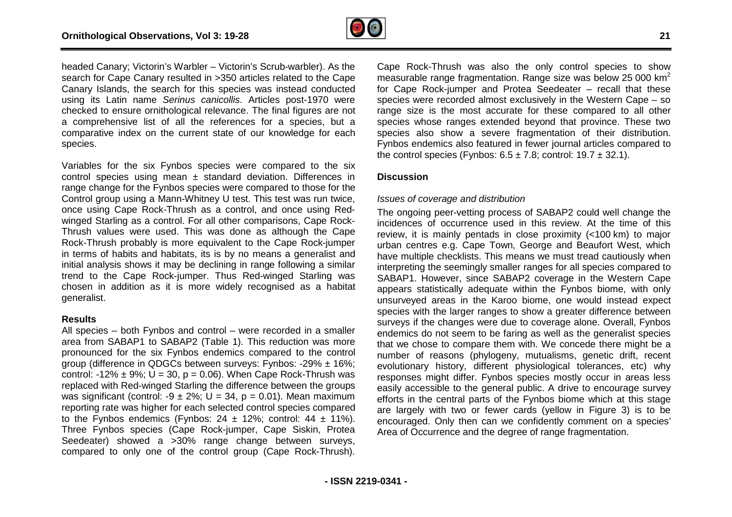

headed Canary; Victorin's Warbler – Victorin's Scrub-warbler). As the search for Cape Canary resulted in >350 articles related to the Cape Canary Islands, the search for this species was instead conducted headed Canary; Victorin's Warbler – Victorin's Scrub-warbler). As the<br>search for Cape Canary resulted in >350 articles related to the Cape<br>Canary Islands, the search for this species was instead conducted<br>using its Latin n checked to ensure ornithological relevance. The final figures are not a comprehensive list of all the references for a species, but a comparative index on the current state of our knowledge for each species. prehensive list of all the references for a species, but a<br>rative index on the current state of our knowledge for each<br>s.<br>es for the six Fynbos species were compared to the six<br>species using mean  $\pm$  standard deviation. D

Variables for the six Fynbos species were compared to the six control species using mean  $\pm$  standard deviation. Differences in range change for the Fynbos species were compared to those for the Control group using a Mann-Whitney U test. This test was run twice, Control group using a Mann-Whitney U test. This test was run twice,<br>once using Cape Rock-Thrush as a control, and once using Redwinged Starling as a control. For all other comparisons, Cape Rock-Thrush values were used. This was done as although the Cape Rock-Thrush probably is more equivalent to the Cape Rock-jumper in terms of habits and habitats, its is by no means a generalist and initial analysis shows it may be declining in range following a similar trend to the Cape Rock-jumper. Thus Red-winged Starling was chosen in addition as it is more widely recognised as a habitat generalist.

#### **Results**

All species – both Fynbos and control – were recorded in a smaller area from SABAP1 to SABAP2 (Table 1). This reduction was more pronounced for the six Fynbos endemics compared to the control group (difference in QDGCs between surveys: Fynbos: -29% ± 16%; control: -12%  $\pm$  9%; U = 30, p = 0.06). When Cape Rock-Thrush was replaced with Red-winged Starling the difference between the groups was significant (control: -9  $\pm$  2%; U = 34, p = 0.01). Mean maximum reporting rate was higher for each selected control species compared to the Fynbos endemics (Fynbos:  $24 \pm 12\%$ ; control:  $44 \pm 11\%$ ). Three Fynbos species (Cape Rock-jumper, Cape Siskin Seedeater) showed a >30% range change between surveys, Seedeater) showed a >30% range change between surveys,<br>compared to only one of the control group (Cape Rock-Thrush). ay be declining in range following a similar<br>
ight-jumper. Thus Red-winged Starling was<br>
is more widely recognised as a habitat<br>
is and control – were recorded in a smaller<br>
BAP2 (Table 1). This reduction was more<br>
ynbos e ). Mean maximum<br>species compared<br>nntrol: 44 ± 11%).<br>pe Siskin, Protea Cape Rock-Thrush was also the only control species to show Cape Rock-Thrush was also the only control species to show<br>measurable range fragmentation. Range size was below 25 000 km<sup>2</sup> for Cape Rock-jumper and Protea Seedeater – recall that these species were recorded almost exclusively in the Western Cape – so range size is the most accurate for these compared to all other species whose ranges extended beyond that province. These two species also show a severe fragmentation of their distribution. Fynbos endemics also featured in fewer journal articles compared to the control species (Fynbos:  $6.5 \pm 7.8$ ; control:  $19.7 \pm 32.1$ ). nges extended beyond that province. These two<br>w a severe fragmentation of their distribution.<br>also featured in fewer journal articles compared to<br>(Fynbos:  $6.5 \pm 7.8$ ; control:  $19.7 \pm 32.1$ ).<br>eand distribution<br>vetting pr

### **Discussion**

#### *Issues of coverage and distribution*

The ongoing peer-vetting process of SABAP2 could well change the incidences of occurrence used in this review. At the time of this review, it is mainly pentads in close proximity (<100 km) to major urban centres e.g. Cape Town, George and Beaufort West, which have multiple checklists. This means we must tread cautiously when interpreting the seemingly smaller ranges for all species compared to SABAP1. However, since SABAP2 coverage in the Western Cape appears statistically adequate within the Fynbos biome, with only unsurveyed areas in the Karoo biome, one would instead expect species with the larger ranges to show a greater difference between surveys if the changes were due to coverage alone. Overall, Fynbos endemics do not seem to be faring as well as the generalist species that we chose to compare them with. We concede there might be a number of reasons (phylogeny, mutualisms, genetic drift, recent evolutionary history, different physiological tolerances, etc) why responses might differ. Fynbos species mostly occur in areas less easily accessible to the general public. A drive to encourage survey efforts in the central parts of the Fynbos biome which at this stage are largely with two or fewer cards (yellow in Figure 3) is to b be encouraged. Only then can we confidently comment on a species' Area of Occurrence and the degree of range fragmentation. stically adequate within the Fynbos biome, with only<br>reas in the Karoo biome, one would instead expect<br>he larger ranges to show a greater difference between<br>changes were due to coverage alone. Overall, Fynbos<br>not seem to b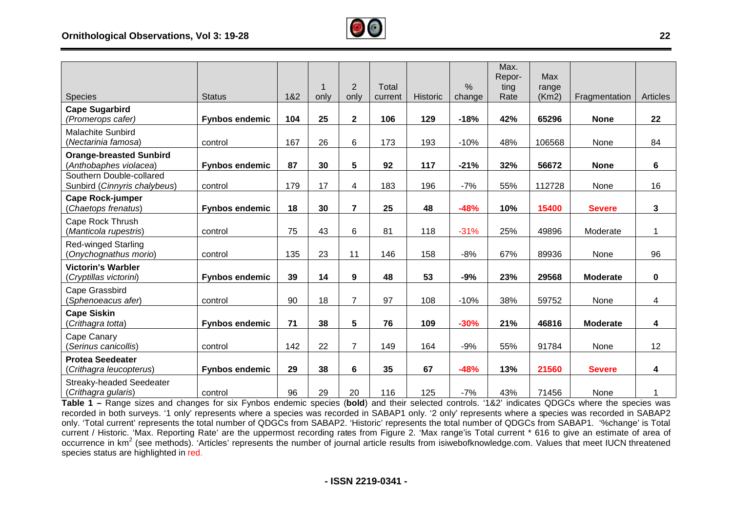

|                                                          |                       |     |      |                         |              |                 |               | Max.           | Max    |                 |                 |
|----------------------------------------------------------|-----------------------|-----|------|-------------------------|--------------|-----------------|---------------|----------------|--------|-----------------|-----------------|
|                                                          |                       |     |      | $\overline{2}$          | <b>Total</b> |                 | $\frac{0}{0}$ | Repor-<br>ting | range  |                 |                 |
| <b>Species</b>                                           | <b>Status</b>         | 1&2 | only | only                    | current      | <b>Historic</b> | change        | Rate           | (Km2)  | Fragmentation   | <b>Articles</b> |
| <b>Cape Sugarbird</b>                                    |                       |     |      |                         |              |                 |               |                |        |                 |                 |
| (Promerops cafer)                                        | <b>Fynbos endemic</b> | 104 | 25   | $\overline{\mathbf{2}}$ | 106          | 129             | $-18%$        | 42%            | 65296  | <b>None</b>     | 22              |
| <b>Malachite Sunbird</b><br>(Nectarinia famosa)          | control               | 167 | 26   | 6                       | 173          | 193             | $-10%$        | 48%            | 106568 | None            | 84              |
| <b>Orange-breasted Sunbird</b>                           |                       |     |      |                         |              |                 |               |                |        |                 |                 |
| (Anthobaphes violacea)                                   | <b>Fynbos endemic</b> | 87  | 30   | 5                       | 92           | 117             | $-21%$        | 32%            | 56672  | <b>None</b>     | 6               |
| Southern Double-collared<br>Sunbird (Cinnyris chalybeus) | control               | 179 | 17   | 4                       | 183          | 196             | $-7%$         | 55%            | 112728 | None            | 16              |
| <b>Cape Rock-jumper</b><br>(Chaetops frenatus)           | <b>Fynbos endemic</b> | 18  | 30   | $\overline{7}$          | 25           | 48              | $-48%$        | 10%            | 15400  | <b>Severe</b>   | 3               |
| Cape Rock Thrush                                         |                       |     |      |                         |              |                 |               |                |        |                 |                 |
| (Manticola rupestris)                                    | control               | 75  | 43   | 6                       | 81           | 118             | $-31%$        | 25%            | 49896  | Moderate        | 1               |
| <b>Red-winged Starling</b><br>(Onychognathus morio)      | control               | 135 | 23   | 11                      | 146          | 158             | $-8%$         | 67%            | 89936  | None            | 96              |
| <b>Victorin's Warbler</b>                                |                       |     |      |                         |              |                 |               |                |        |                 |                 |
| (Cryptillas victorini)                                   | <b>Fynbos endemic</b> | 39  | 14   | 9                       | 48           | 53              | $-9%$         | 23%            | 29568  | <b>Moderate</b> | 0               |
| Cape Grassbird<br>(Sphenoeacus afer)                     | control               | 90  | 18   | $\overline{7}$          | 97           | 108             | $-10%$        | 38%            | 59752  | None            | 4               |
| <b>Cape Siskin</b>                                       |                       |     |      |                         |              |                 |               |                |        |                 |                 |
| (Crithagra totta)                                        | <b>Fynbos endemic</b> | 71  | 38   | 5                       | 76           | 109             | $-30%$        | 21%            | 46816  | <b>Moderate</b> | 4               |
| Cape Canary                                              |                       |     |      |                         |              |                 |               |                |        |                 |                 |
| (Serinus canicollis)                                     | control               | 142 | 22   | 7                       | 149          | 164             | $-9%$         | 55%            | 91784  | None            | 12              |
| <b>Protea Seedeater</b><br>(Crithagra leucopterus)       | <b>Fynbos endemic</b> | 29  | 38   | 6                       | 35           | 67              | $-48%$        | 13%            | 21560  | <b>Severe</b>   | 4               |
| <b>Streaky-headed Seedeater</b><br>(Crithagra gularis)   | control               | 96  | 29   | 20                      | 116          | 125             | $-7%$         | 43%            | 71456  | None            | 1               |

Table 1 – Range sizes and changes for six Fynbos endemic species (bold) and their selected controls. '1&2' indicates QDGCs where the species was recorded in both surveys. '1 only' represents where a species was recorded in SABAP1 only. '2 only' represents where a species was recorded in SABAP2 recorded in both surveys. '1 only' represents where a species was recorded in SABAP1 only. '2 only' represents where a species was recorded in SABAP2<br>only. 'Total current' represents the total number of QDGCs from SABAP2. current / Historic. 'Max. Reporting Rate' are the uppermost recording rates from Figure 2. 'Max range'is Total current \* 616 to give an estimate of area of current / Historic. 'Max. Reporting Rate' are the uppermost recording rates from Figure 2. 'Max range'is Total current \* 616 to give an estimate of area of<br>occurrence in km<sup>2</sup> (see methods). 'Articles' represents the numbe species status are highlighted in red.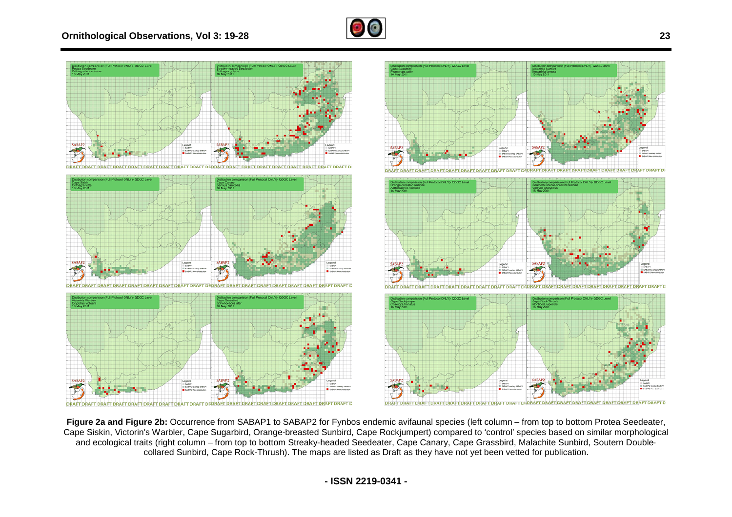



Figure 2a and Figure 2b: Occurrence from SABAP1 to SABAP2 for Fynbos endemic avifaunal species (left column – from top to bottom Protea Seedeater, Cape Siskin, Victorin's Warbler, Cape Sugarbird, Orange-breasted Sunbird, Cape Rockjumpert) compared to 'control' species based on similar morphological pe Siskin, Victorin's Warbler, Cape Sugarbird, Orange-breasted Sunbird, Cape Rockjumpert) compared to 'control' species based on similar morpholog<br>and ecological traits (right column – from top to bottom Streaky-headed See collared Sunbird, Cape Rock-Thrush). The maps are listed as Draft as they have not yet been vetted for publication.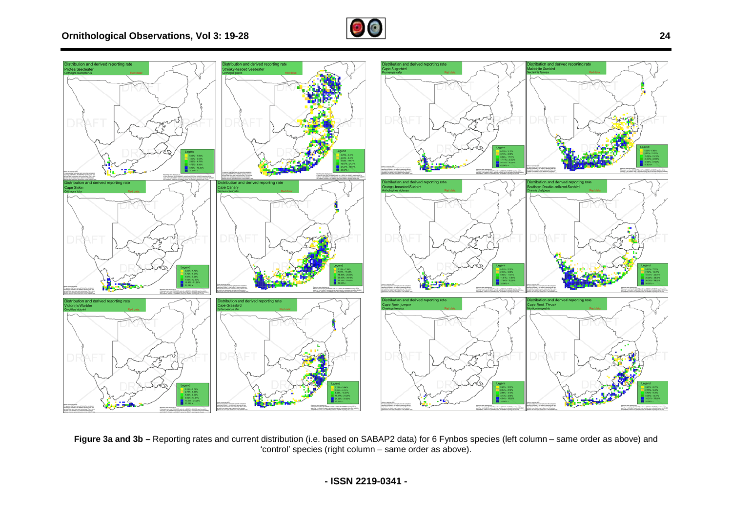



**Figure 3a and 3b –** Reporting rates and current distribution (i.e. based on SABAP2 data) for 6 Fynbos species (left column 'control' species (right column column – same order as above column – same order as above). above) and

**- ISSN 2219-0341 -**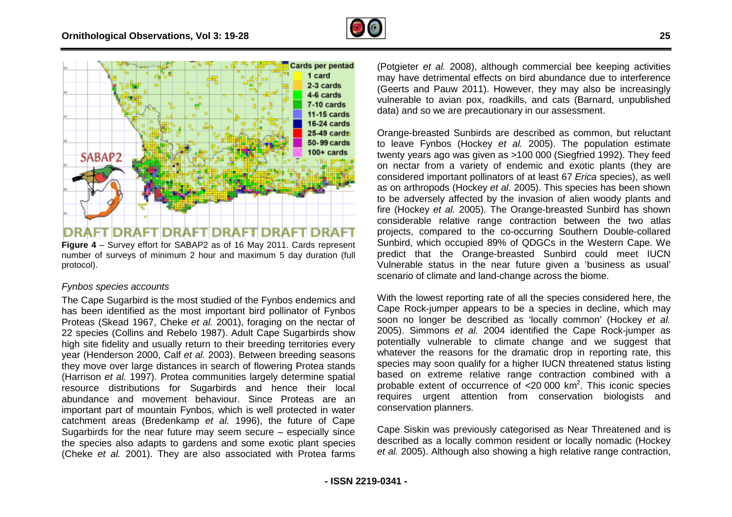

**Figure 4** – Survey effort for SABAP2 as of 16 May 2011. Cards represent number of surveys of minimum 2 hour and maximum 5 day duration (full protocol).

# *Fynbos species accounts*

The Cape Sugarbird is the most studied of the Fynbos endemics and has been identified as the most important bird pollinator of Fynbos Proteas (Skead 1967, Cheke *et al.* 2001), foraging on the nectar of 22 species (Collins and Rebelo 1987). Adult Cape Sugarbirds show high site fidelity and usually return to their breeding territories every year (Henderson 2000, Calf *et al.* 2003). Between breeding seasons they move over large distances in search of flowering Protea stands (Harrison *et al.* 1997). Protea communities largely determine spatial resource distributions for Sugarbirds and hence their local abundance and movement behaviour. Since Proteas are an important part of mountain Fynbos, which is well protected in water catchment areas (Bredenkamp *et al.* 1996), the future of Cape Sugarbirds for the near future may seem secure – especially since the species also adapts to gardens and some exotic plant species (Cheke *et al.* 2001). They are also associated with Protea farms , foraging on the nectar of<br>Iult Cape Sugarbirds show<br>r breeding territories every may have detrimental effects on bird abundance due to interference (Potgieter *et al.* 2008), although commercial bee keeping activities may have detrimental effects on bird abundance due to interference (Geerts and Pauw 2011). However, they may also be increasingly vulnerable to avian pox, roadkills, and cats (Barnard, unpublished data) and so we are precautionary in our assessment.

The most studient of the studient of all 2003), although commercial bee keeping activities.<br>
The state of Ceremic activities of the commercial been commercial been commercial to all 2008), although commercial between the m Orange-breasted Sunbirds are described as common, but reluctant to leave Fynbos (Hockey *et al.* 2005). The population estimate twenty years ago was given as >100 000 (Siegfried 1992) on nectar from a variety of endemic and exotic plants (they are considered important pollinators of at least 67 *Erica* species), as well as on arthropods (Hockey *et al.* 2005). This species has b been shown to be adversely affected by the invasion of alien woody plants and fire (Hockey *et al.* 2005). The Orange-breasted Sunbird has shown considerable relative range contraction between the two atlas projects, compared to the co-occurring Southern Double-collared Sunbird, which occupied 89% of QDGCs in the Western Cape. We predict that the Orange-breasted Sunbird could meet IUCN Vulnerable status in the near future given a 'business as usual' scenario of climate and land-change across the biome. breasted Sunbirds are described as common, but reluctant<br>Fynbos (Hockey *et al.* 2005). The population estimate<br>ears ago was given as >100 000 (Siegfried 1992). They feed Drange-breasted Sunbird has shown<br>ontraction between the two atlas<br>occurring Southern Double-collared

With the lowest reporting rate of all the species considered here, the Cape Rock-jumper appears to be a species in decline, which may soon no longer be described as 'locally common' (Hockey *et al.* 2005). Simmons et al. 2004 identified the Cape Rock-jumper as potentially vulnerable to climate change and we suggest that whatever the reasons for the dramatic drop in reporting rate, this species may soon qualify for a higher IUCN threatened status listing based on extreme relative range contraction combined with a probable extent of occurrence of  $\lt 20000$  km<sup>2</sup>. This iconic species requires urgent attention from conservation biologists and conservation planners. climate and land-change<br>est reporting rate of all<br>jumper appears to be a

Cape Siskin was previously categorised as Near Threatened and is described as a locally common resident or locally nomadic (Hockey *et al.* 2005). Although also showing a high relative range contraction,

**25**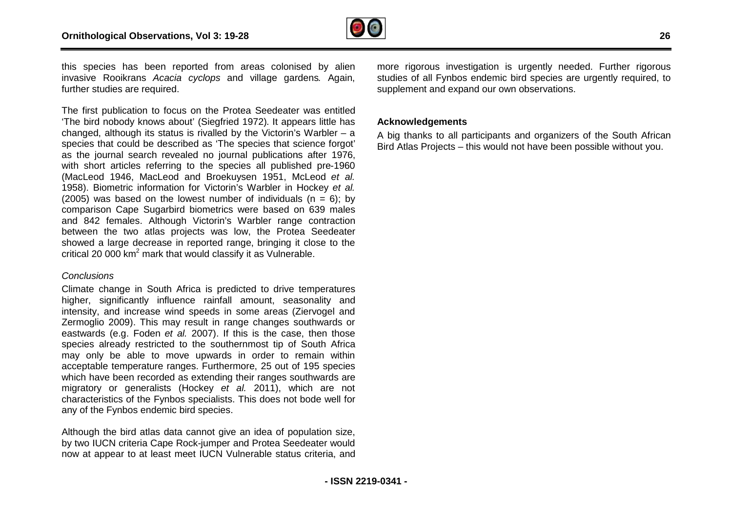

this species has been reported from areas colonised by alien invasive Rooikrans *Acacia cyclops* and village gardens *.* Again, further studies are required.

The first publication to focus on the Protea Seedeater was entitled 'The bird nobody knows about' (Siegfried 1972). It appears little has 'The bird nobody knows about' (Siegfried 1972). It appears little has<br>changed, although its status is rivalled by the Victorin's Warbler – a species that could be described as 'The species that science forgot' as the journal search revealed no journal publications after 1976, with short articles referring to the species all published pre-1960 (MacLeod 1946, MacLeod and Broekuysen 1951, McLeod *et al.* 1958). Biometric information for Victorin's Warbler in Hockey et al. (2005) was based on the lowest number of individuals  $(n = 6)$ ; by comparison Cape Sugarbird biometrics were based on 639 males and 842 females. Although Victorin's Warbler range contraction between the two atlas projects was low, the Protea Seedeater showed a large decrease in reported range, bringing it close to the critical 20 000 km<sup>2</sup> mark that would classify it as Vulnerable. reported from areas colonised by alien more from consistency is mediatom is urgently needed.<br>
Scale of profos and village gardens. Again, studies of all Fynbos endemic bird species are urgently required, to<br>
supplement and

#### *Conclusions*

Climate change in South Africa is predicted to drive temperatures higher, significantly influence rainfall amount, seasonality and intensity, and increase wind speeds in some areas (Ziervogel and Zermoglio 2009). This may result in range changes southwards or eastwards (e.g. Foden *et al.* 2007). If this is the case, then those species already restricted to the southernmost tip of South Africa may only be able to move upwards in order to remain within acceptable temperature ranges. Furthermore, 25 out of 195 species which have been recorded as extending their ranges southwards are migratory or generalists (Hockey *et al.* 2011), which are not characteristics of the Fynbos specialists. This does not bode well for any of the Fynbos endemic bird species.

Although the bird atlas data cannot give an idea of population size, by two IUCN criteria Cape Rock-jumper and Protea Seedeater would now at appear to at least meet IUCN Vulnerable status criteria, and studies of all Fynbos endemic bird species are urgently required, to supplement and expand our own observations.

# **Acknowledgements**

A big thanks to all participants and organizers of the South African Bird Atlas Projects – this would not have been possible without you.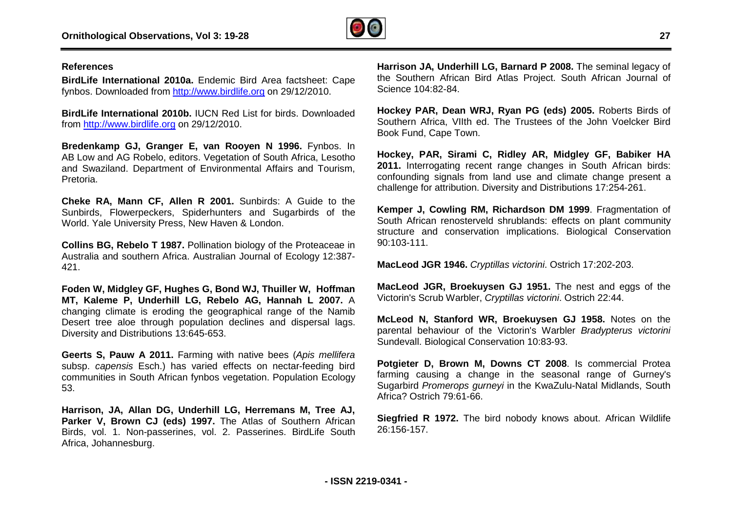

#### **References**

**BirdLife International 2010a.** Endemic Bird Area factsheet: Cape fynbos. Downloaded from <http://www.birdlife.org> on 29/12/2010.

**BirdLife International 2010b.** IUCN Red List for birds. Downloaded from<http://www.birdlife.org> on 29/12/2010.

**Bredenkamp GJ, Granger E, van Rooyen N 1996.** Fynbos. In AB Low and AG Robelo, editors. Vegetation of South Africa, Lesotho and Swaziland. Department of Environmental Affairs a and Tourism, Pretoria.

**Cheke RA, Mann CF, Allen R 2001.** Sunbirds: A Guide to the Sunbirds, Flowerpeckers, Spiderhunters and Sugarbirds of the World. Yale University Press, New Haven & London.

**Collins BG, Rebelo T 1987.** Pollination biology of the Proteaceae in Australia and southern Africa. Australian Journal of Ecology 12:387- 421.

**Foden W, Midgley GF, Hughes G, Bond WJ, Thuiller W, Hoffman MT, Kaleme P, Underhill LG, Rebelo AG, Hannah , L 2007.** A changing climate is eroding the geographical range of the Na Namib Desert tree aloe through population declines and dispersal lags. Diversity and Distributions 13:645-653.

**Geerts S, Pauw A 2011.** Farming with native bees (*Apis mellifera* subsp. capensis Esch.) has varied effects on nectar-feeding bird communities in South African fynbos vegetation. Population Ecology 53.

**Harrison, JA, Allan DG, Underhill LG, Herremans M, Tree AJ, Parker V, Brown CJ (eds) 1997.** The Atlas of Southern African Birds, vol. 1. Non-passerines, vol. 2. Passerines. BirdLife South Africa, Johannesburg.

the Southern African Bird Atlas Project. South African Journal of Science 104:82-84.

**Hockey PAR, Dean WRJ, Ryan PG (eds) 2005.**  Roberts Birds of Southern Africa, VIIth ed. The Trustees of the John Voelcker Bird Book Fund, Cape Town.

**Hockey, PAR, Sirami C, Ridley AR, Midgley , GF, Babiker HA 2011.** Interrogating recent range changes in South African birds: confounding signals from land use and climate change present a challenge for attribution. Diversity and Distributions 17:254 17:254-261.

**beta states in the seminal 2010a.** Endemic Bird Area factsheet: Cape<br>
the Southern African Did Ramard P 2008. The seminal legacy of from the seminal capacity<br> **Harrison** Microsoft (14:82-84.<br> **Hence 10:4:82-84.**<br> **Barnard Kemper J, Cowling RM, Richardson DM 1999** . Fragmentation of South African renosterveld shrublands: effects on plant community structure and conservation implications. Biological Conservation 90:103-111.

**MacLeod JGR 1946.** *Cryptillas victorini*. Ostrich 17:202 17:202-203.

**MacLeod JGR, Broekuysen GJ 1951.** The nest and eggs of the Victorin's Scrub Warbler, *Cryptillas victorini*. Ostrich 22:44.

**McLeod N, Stanford WR, Broekuysen GJ 1958.** Notes on the parental behaviour of the Victorin's Warbler *Bradypterus victorini* Sundevall. Biological Conservation 10:83-93.

**Potgieter D, Brown M, Downs CT 2008**. Is commercial Protea farming causing a change in the seasonal range of Gurney's Sugarbird Promerops gurneyi in the KwaZulu-Natal Midlands, South Africa? Ostrich 79:61-66.

**Siegfried R 1972.** The bird nobody knows about. African Wildlife 26:156-157.